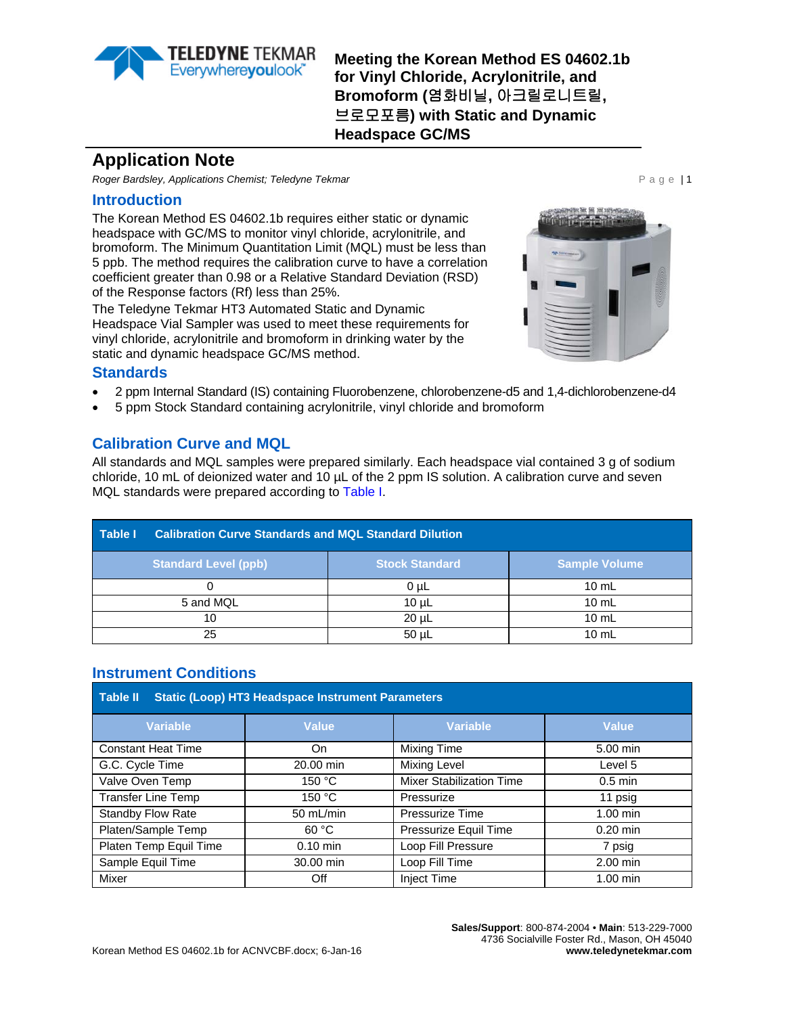

**Meeting the Korean Method ES 04602.1b for Vinyl Chloride, Acrylonitrile, and Bromoform (**염화비닐**,** 아크릴로니트릴**,**  브로모포름**) with Static and Dynamic Headspace GC/MS**

# **Application Note**

*Roger Bardsley, Applications Chemist; Teledyne Tekmar* **Page 11 and 2009 Page 11 and 2009 Page 11 and 2009 Page 11 and 2009 Page 11 and 2009 Page 11 and 2009 Page 11 and 2009 Page 12 and 2009 Page 12 and 2009 Page 12 and** 

#### **Introduction**

The Korean Method ES 04602.1b requires either static or dynamic headspace with GC/MS to monitor vinyl chloride, acrylonitrile, and bromoform. The Minimum Quantitation Limit (MQL) must be less than 5 ppb. The method requires the calibration curve to have a correlation coefficient greater than 0.98 or a Relative Standard Deviation (RSD) of the Response factors (Rf) less than 25%.

The Teledyne Tekmar HT3 Automated Static and Dynamic Headspace Vial Sampler was used to meet these requirements for vinyl chloride, acrylonitrile and bromoform in drinking water by the static and dynamic headspace GC/MS method.



#### **Standards**

- 2 ppm Internal Standard (IS) containing Fluorobenzene, chlorobenzene-d5 and 1,4-dichlorobenzene-d4
- 5 ppm Stock Standard containing acrylonitrile, vinyl chloride and bromoform

# **Calibration Curve and MQL**

All standards and MQL samples were prepared similarly. Each headspace vial contained 3 g of sodium chloride, 10 mL of deionized water and 10  $\mu$ L of the 2 ppm IS solution. A calibration curve and seven MQL standards were prepared according to [Table I.](#page-0-0)

<span id="page-0-0"></span>

| Table I                     | <b>Calibration Curve Standards and MQL Standard Dilution</b> |                 |  |  |  |
|-----------------------------|--------------------------------------------------------------|-----------------|--|--|--|
| <b>Standard Level (ppb)</b> | <b>Sample Volume</b>                                         |                 |  |  |  |
|                             | 0 <sub>µ</sub>                                               | $10 \text{ mL}$ |  |  |  |
| 5 and MQL                   | 10 <sub>µ</sub>                                              | $10 \text{ mL}$ |  |  |  |
| 10                          | $20 \mu L$                                                   | $10 \text{ mL}$ |  |  |  |
| 25                          | $50 \mu L$                                                   | $10 \text{ mL}$ |  |  |  |

# **Instrument Conditions**

| <b>Static (Loop) HT3 Headspace Instrument Parameters</b><br><b>Table II</b> |              |                                 |                    |  |  |
|-----------------------------------------------------------------------------|--------------|---------------------------------|--------------------|--|--|
| <b>Variable</b>                                                             | <b>Value</b> | <b>Variable</b>                 | <b>Value</b>       |  |  |
| <b>Constant Heat Time</b>                                                   | On           | <b>Mixing Time</b>              | 5.00 min           |  |  |
| <b>Mixing Level</b><br>G.C. Cycle Time<br>20.00 min<br>Level 5              |              |                                 |                    |  |  |
| Valve Oven Temp<br>150 °C                                                   |              | <b>Mixer Stabilization Time</b> | $0.5$ min          |  |  |
| Transfer Line Temp<br>150 °C<br>Pressurize                                  |              |                                 | 11 psig            |  |  |
| Standby Flow Rate                                                           | 50 mL/min    | <b>Pressurize Time</b>          | $1.00$ min         |  |  |
| Platen/Sample Temp                                                          | 60 °C        | Pressurize Equil Time           | $0.20$ min         |  |  |
| Platen Temp Equil Time                                                      | $0.10$ min   | Loop Fill Pressure              | 7 psig             |  |  |
| Sample Equil Time                                                           | 30.00 min    | Loop Fill Time                  | 2.00 min           |  |  |
| <b>Mixer</b>                                                                | Off          | <b>Inject Time</b>              | $1.00 \text{ min}$ |  |  |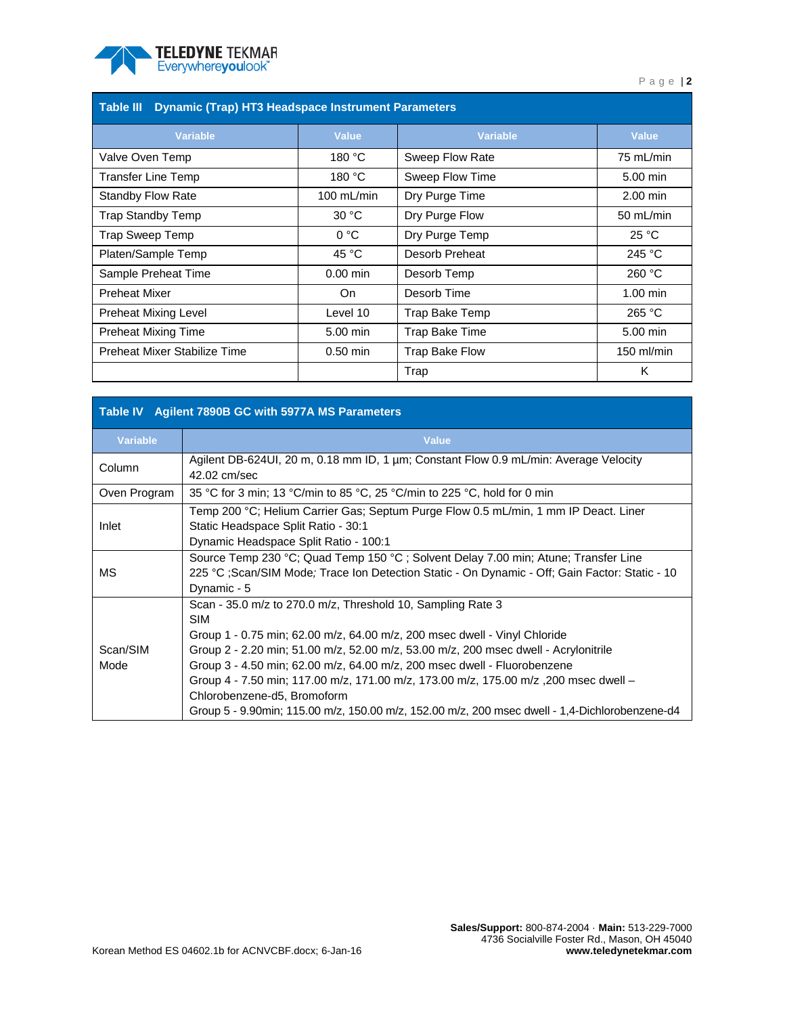

| <b>Dynamic (Trap) HT3 Headspace Instrument Parameters</b><br>Table III |                         |                 |              |  |  |  |
|------------------------------------------------------------------------|-------------------------|-----------------|--------------|--|--|--|
| <b>Variable</b>                                                        | <b>Value</b>            | <b>Variable</b> | Value        |  |  |  |
| Valve Oven Temp                                                        | 180 °C                  | Sweep Flow Rate | 75 mL/min    |  |  |  |
| <b>Transfer Line Temp</b>                                              | 180 °C                  | Sweep Flow Time | 5.00 min     |  |  |  |
| <b>Standby Flow Rate</b>                                               | $100$ mL/min            | Dry Purge Time  | $2.00$ min   |  |  |  |
| Trap Standby Temp                                                      | 30 °C<br>Dry Purge Flow |                 | 50 $mL/min$  |  |  |  |
| Trap Sweep Temp                                                        | 0 °C                    | Dry Purge Temp  | 25 °C        |  |  |  |
| Platen/Sample Temp                                                     | 45 °C                   | Desorb Preheat  | 245 °C       |  |  |  |
| Sample Preheat Time                                                    | $0.00$ min              | Desorb Temp     | 260 °C       |  |  |  |
| <b>Preheat Mixer</b>                                                   | On                      | Desorb Time     | $1.00$ min   |  |  |  |
| <b>Preheat Mixing Level</b>                                            | Level 10                | Trap Bake Temp  | 265 °C       |  |  |  |
| <b>Preheat Mixing Time</b>                                             | 5.00 min                | Trap Bake Time  | 5.00 min     |  |  |  |
| Preheat Mixer Stabilize Time                                           | $0.50$ min              | Trap Bake Flow  | $150$ ml/min |  |  |  |
|                                                                        |                         | Trap            | K            |  |  |  |

| Table IV Agilent 7890B GC with 5977A MS Parameters |                                                                                                                                                                                                                                                                                                                                                                                                                                                                                                                                                    |  |  |  |  |  |
|----------------------------------------------------|----------------------------------------------------------------------------------------------------------------------------------------------------------------------------------------------------------------------------------------------------------------------------------------------------------------------------------------------------------------------------------------------------------------------------------------------------------------------------------------------------------------------------------------------------|--|--|--|--|--|
| <b>Variable</b>                                    | <b>Value</b>                                                                                                                                                                                                                                                                                                                                                                                                                                                                                                                                       |  |  |  |  |  |
| Column                                             | Agilent DB-624UI, 20 m, 0.18 mm ID, 1 µm; Constant Flow 0.9 mL/min: Average Velocity<br>42.02 cm/sec                                                                                                                                                                                                                                                                                                                                                                                                                                               |  |  |  |  |  |
| Oven Program                                       | 35 °C for 3 min; 13 °C/min to 85 °C, 25 °C/min to 225 °C, hold for 0 min                                                                                                                                                                                                                                                                                                                                                                                                                                                                           |  |  |  |  |  |
| Inlet                                              | Temp 200 °C; Helium Carrier Gas; Septum Purge Flow 0.5 mL/min, 1 mm IP Deact. Liner<br>Static Headspace Split Ratio - 30:1<br>Dynamic Headspace Split Ratio - 100:1                                                                                                                                                                                                                                                                                                                                                                                |  |  |  |  |  |
| МS                                                 | Source Temp 230 °C; Quad Temp 150 °C; Solvent Delay 7.00 min; Atune; Transfer Line<br>225 °C ;Scan/SIM Mode; Trace Ion Detection Static - On Dynamic - Off; Gain Factor: Static - 10<br>Dynamic - 5                                                                                                                                                                                                                                                                                                                                                |  |  |  |  |  |
| Scan/SIM<br>Mode                                   | Scan - 35.0 m/z to 270.0 m/z, Threshold 10, Sampling Rate 3<br><b>SIM</b><br>Group 1 - 0.75 min; 62.00 m/z, 64.00 m/z, 200 msec dwell - Vinyl Chloride<br>Group 2 - 2.20 min; 51.00 m/z, 52.00 m/z, 53.00 m/z, 200 msec dwell - Acrylonitrile<br>Group 3 - 4.50 min; 62.00 m/z, 64.00 m/z, 200 msec dwell - Fluorobenzene<br>Group 4 - 7.50 min; 117.00 m/z, 171.00 m/z, 173.00 m/z, 175.00 m/z, 200 msec dwell -<br>Chlorobenzene-d5, Bromoform<br>Group 5 - 9.90min; 115.00 m/z, 150.00 m/z, 152.00 m/z, 200 msec dwell - 1,4-Dichlorobenzene-d4 |  |  |  |  |  |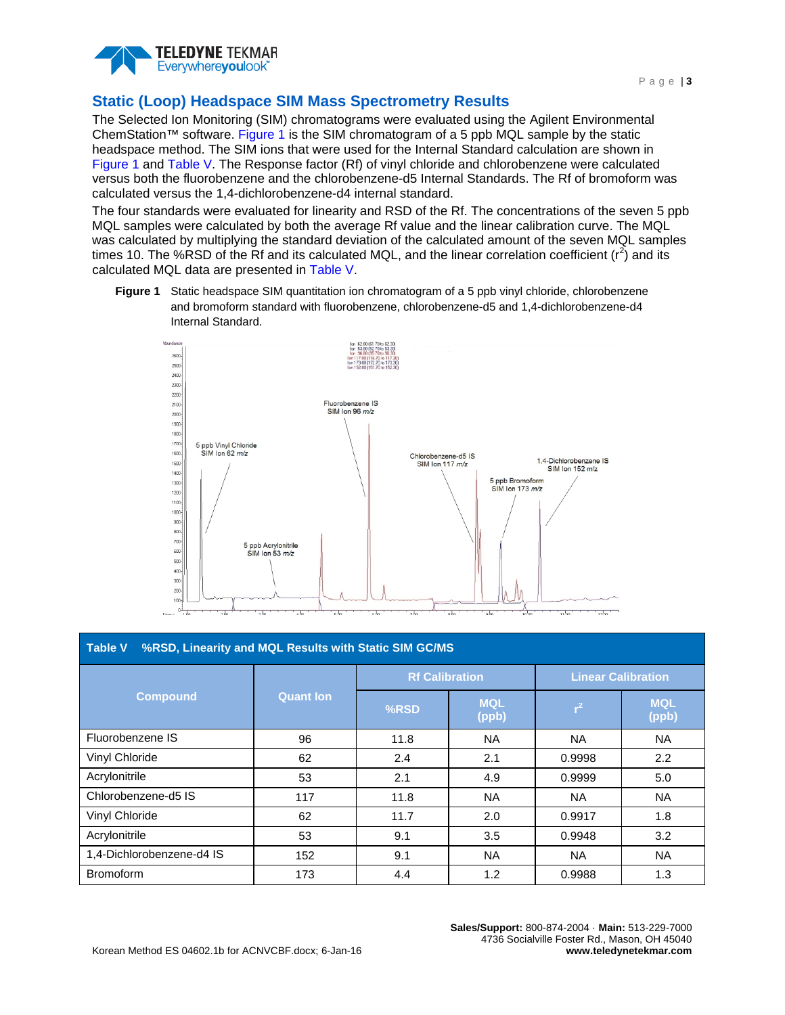

# **Static (Loop) Headspace SIM Mass Spectrometry Results**

The Selected Ion Monitoring (SIM) chromatograms were evaluated using the Agilent Environmental ChemStation™ software. [Figure 1](#page-2-0) is the SIM chromatogram of a 5 ppb MQL sample by the static headspace method. The SIM ions that were used for the Internal Standard calculation are shown in [Figure 1](#page-2-0) and [Table V.](#page-2-1) The Response factor (Rf) of vinyl chloride and chlorobenzene were calculated versus both the fluorobenzene and the chlorobenzene-d5 Internal Standards. The Rf of bromoform was calculated versus the 1,4-dichlorobenzene-d4 internal standard.

The four standards were evaluated for linearity and RSD of the Rf. The concentrations of the seven 5 ppb MQL samples were calculated by both the average Rf value and the linear calibration curve. The MQL was calculated by multiplying the standard deviation of the calculated amount of the seven MQL samples times 10. The %RSD of the Rf and its calculated MQL, and the linear correlation coefficient  $(r^2)$  and its calculated MQL data are presented in [Table V.](#page-2-1)

<span id="page-2-0"></span>**Figure 1** Static headspace SIM quantitation ion chromatogram of a 5 ppb vinyl chloride, chlorobenzene and bromoform standard with fluorobenzene, chlorobenzene-d5 and 1,4-dichlorobenzene-d4 Internal Standard.



<span id="page-2-1"></span>

| %RSD, Linearity and MQL Results with Static SIM GC/MS<br><b>Table V</b> |                  |                       |                     |                           |                     |  |
|-------------------------------------------------------------------------|------------------|-----------------------|---------------------|---------------------------|---------------------|--|
| <b>Compound</b>                                                         | <b>Quant Ion</b> | <b>Rf Calibration</b> |                     | <b>Linear Calibration</b> |                     |  |
|                                                                         |                  | %RSD                  | <b>MQL</b><br>(ppb) | $r^2$                     | <b>MQL</b><br>(ppb) |  |
| Fluorobenzene IS                                                        | 96               | 11.8                  | NA.                 | NA.                       | NA.                 |  |
| Vinyl Chloride                                                          | 62               | 2.4                   | 2.1                 | 0.9998                    | 2.2                 |  |
| Acrylonitrile                                                           | 53               | 2.1                   | 4.9                 | 0.9999                    | 5.0                 |  |
| Chlorobenzene-d5 IS                                                     | 117              | 11.8                  | NA.                 | NA.                       | <b>NA</b>           |  |
| Vinyl Chloride                                                          | 62               | 11.7                  | 2.0                 | 0.9917                    | 1.8                 |  |
| Acrylonitrile                                                           | 53               | 9.1                   | 3.5                 | 0.9948                    | 3.2                 |  |
| 1,4-Dichlorobenzene-d4 IS                                               | 152              | 9.1                   | NA.                 | NA.                       | <b>NA</b>           |  |
| <b>Bromoform</b>                                                        | 173              | 4.4                   | 1.2                 | 0.9988                    | 1.3                 |  |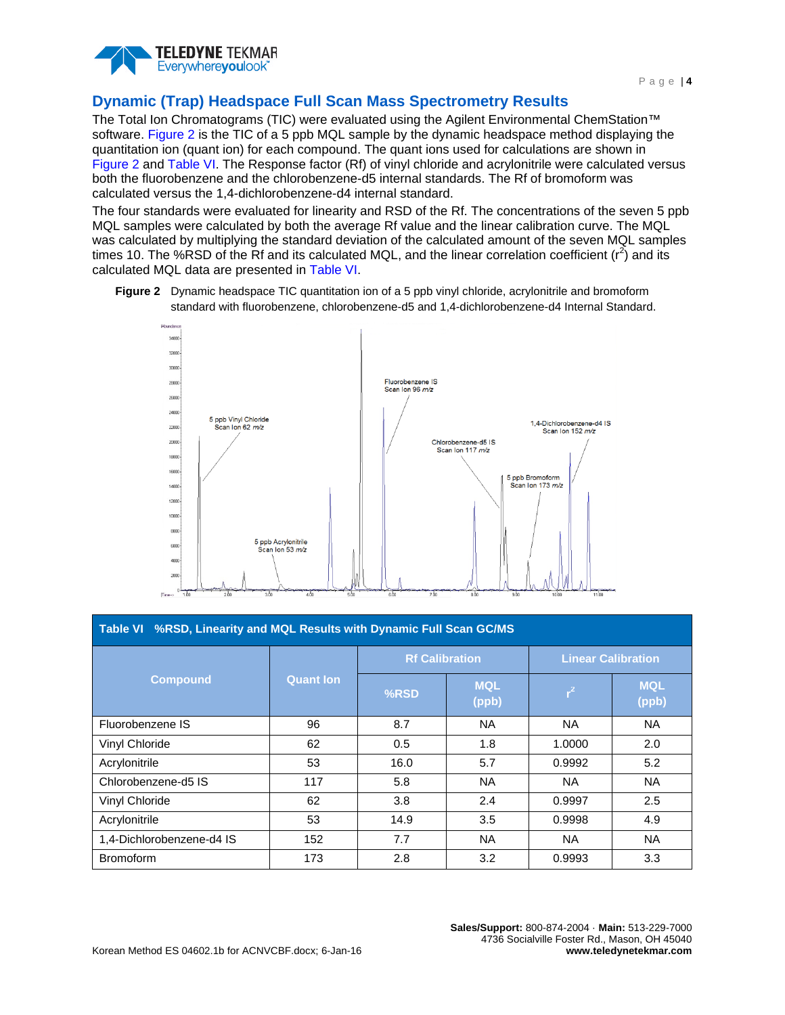

#### **Dynamic (Trap) Headspace Full Scan Mass Spectrometry Results**

The Total Ion Chromatograms (TIC) were evaluated using the Agilent Environmental ChemStation<sup>™</sup> software. [Figure 2](#page-3-0) is the TIC of a 5 ppb MQL sample by the dynamic headspace method displaying the quantitation ion (quant ion) for each compound. The quant ions used for calculations are shown in [Figure 2](#page-3-0) and [Table VI.](#page-3-1) The Response factor (Rf) of vinyl chloride and acrylonitrile were calculated versus both the fluorobenzene and the chlorobenzene-d5 internal standards. The Rf of bromoform was calculated versus the 1,4-dichlorobenzene-d4 internal standard.

The four standards were evaluated for linearity and RSD of the Rf. The concentrations of the seven 5 ppb MQL samples were calculated by both the average Rf value and the linear calibration curve. The MQL was calculated by multiplying the standard deviation of the calculated amount of the seven MQL samples times 10. The %RSD of the Rf and its calculated MQL, and the linear correlation coefficient  $(r^2)$  and its calculated MQL data are presented in [Table VI.](#page-3-1)

<span id="page-3-0"></span>**Figure 2** Dynamic headspace TIC quantitation ion of a 5 ppb vinyl chloride, acrylonitrile and bromoform standard with fluorobenzene, chlorobenzene-d5 and 1,4-dichlorobenzene-d4 Internal Standard.



<span id="page-3-1"></span>

| Table VI %RSD, Linearity and MQL Results with Dynamic Full Scan GC/MS |                  |                       |                     |                           |                     |  |
|-----------------------------------------------------------------------|------------------|-----------------------|---------------------|---------------------------|---------------------|--|
| <b>Compound</b>                                                       | <b>Quant Ion</b> | <b>Rf Calibration</b> |                     | <b>Linear Calibration</b> |                     |  |
|                                                                       |                  | %RSD                  | <b>MQL</b><br>(ppb) | $r^2$                     | <b>MQL</b><br>(ppb) |  |
| Fluorobenzene IS                                                      | 96               | 8.7                   | <b>NA</b>           | <b>NA</b>                 | <b>NA</b>           |  |
| Vinyl Chloride                                                        | 62               | 0.5                   | 1.8                 | 1.0000                    | 2.0                 |  |
| Acrylonitrile                                                         | 53               | 16.0                  | 5.7                 | 0.9992                    | 5.2                 |  |
| Chlorobenzene-d5 IS                                                   | 117              | 5.8                   | <b>NA</b>           | NA.                       | NA.                 |  |
| Vinyl Chloride                                                        | 62               | 3.8                   | 2.4                 | 0.9997                    | 2.5                 |  |
| Acrylonitrile                                                         | 53               | 14.9                  | 3.5                 | 0.9998                    | 4.9                 |  |
| 1,4-Dichlorobenzene-d4 IS                                             | 152              | 7.7                   | <b>NA</b>           | <b>NA</b>                 | <b>NA</b>           |  |
| <b>Bromoform</b>                                                      | 173              | 2.8                   | 3.2                 | 0.9993                    | 3.3                 |  |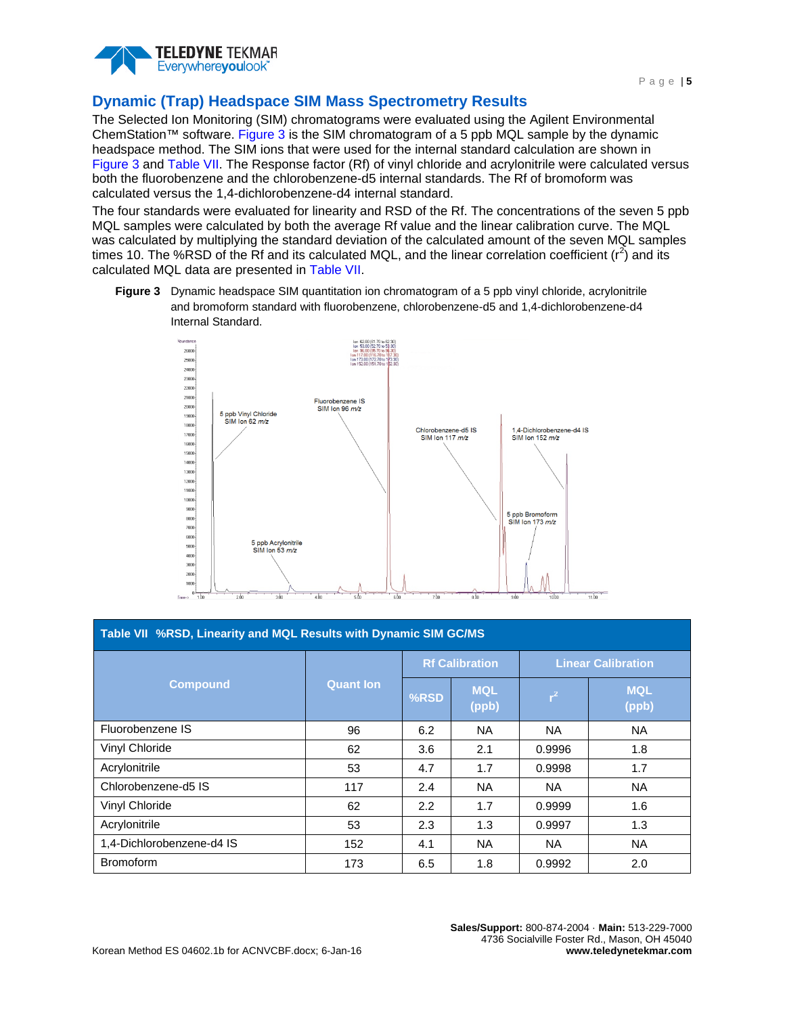

# **Dynamic (Trap) Headspace SIM Mass Spectrometry Results**

The Selected Ion Monitoring (SIM) chromatograms were evaluated using the Agilent Environmental ChemStation™ software. [Figure 3](#page-4-0) is the SIM chromatogram of a 5 ppb MQL sample by the dynamic headspace method. The SIM ions that were used for the internal standard calculation are shown in [Figure 3](#page-4-0) and [Table VII.](#page-4-1) The Response factor (Rf) of vinyl chloride and acrylonitrile were calculated versus both the fluorobenzene and the chlorobenzene-d5 internal standards. The Rf of bromoform was calculated versus the 1,4-dichlorobenzene-d4 internal standard.

The four standards were evaluated for linearity and RSD of the Rf. The concentrations of the seven 5 ppb MQL samples were calculated by both the average Rf value and the linear calibration curve. The MQL was calculated by multiplying the standard deviation of the calculated amount of the seven MQL samples times 10. The %RSD of the Rf and its calculated MQL, and the linear correlation coefficient  $(r^2)$  and its calculated MQL data are presented in [Table VII.](#page-4-1)

<span id="page-4-0"></span>**Figure 3** Dynamic headspace SIM quantitation ion chromatogram of a 5 ppb vinyl chloride, acrylonitrile and bromoform standard with fluorobenzene, chlorobenzene-d5 and 1,4-dichlorobenzene-d4 Internal Standard.



<span id="page-4-1"></span>

| Table VII %RSD, Linearity and MQL Results with Dynamic SIM GC/MS |                  |                       |                     |                           |                     |  |
|------------------------------------------------------------------|------------------|-----------------------|---------------------|---------------------------|---------------------|--|
| <b>Compound</b>                                                  | <b>Quant lon</b> | <b>Rf Calibration</b> |                     | <b>Linear Calibration</b> |                     |  |
|                                                                  |                  | %RSD                  | <b>MQL</b><br>(ppb) | $r^2$                     | <b>MQL</b><br>(ppb) |  |
| Fluorobenzene IS                                                 | 96               | 6.2                   | <b>NA</b>           | <b>NA</b>                 | <b>NA</b>           |  |
| Vinyl Chloride                                                   | 62               | 3.6                   | 2.1                 | 0.9996                    | 1.8                 |  |
| Acrylonitrile                                                    | 53               | 4.7                   | 1.7                 | 0.9998                    | 1.7                 |  |
| Chlorobenzene-d5 IS                                              | 117              | 2.4                   | <b>NA</b>           | NA.                       | <b>NA</b>           |  |
| Vinyl Chloride                                                   | 62               | 2.2                   | 1.7                 | 0.9999                    | 1.6                 |  |
| Acrylonitrile                                                    | 53               | 2.3                   | 1.3                 | 0.9997                    | 1.3                 |  |
| 1,4-Dichlorobenzene-d4 IS                                        | 152              | 4.1                   | <b>NA</b>           | NA.                       | <b>NA</b>           |  |
| <b>Bromoform</b>                                                 | 173              | 6.5                   | 1.8                 | 0.9992                    | 2.0                 |  |